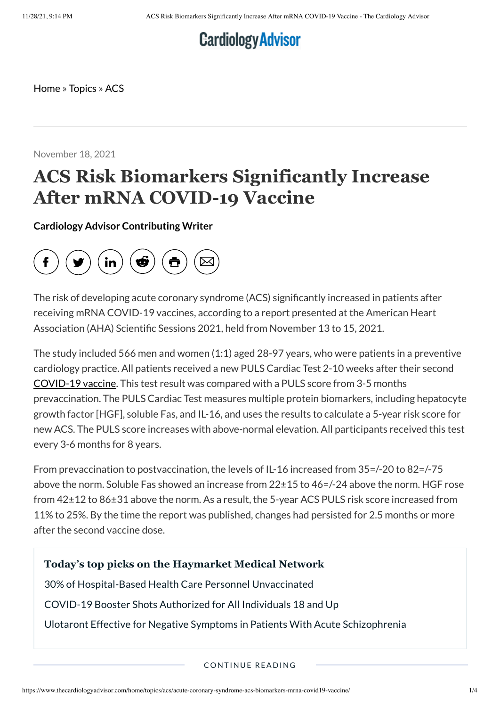# **Cardiology Advisor**

<span id="page-0-0"></span>[Home](https://www.thecardiologyadvisor.com/home/) » [Topics](https://www.thecardiologyadvisor.com/home/topics/) » [ACS](https://www.thecardiologyadvisor.com/home/topics/acs/)

November 18, 2021

## **ACS Risk Biomarkers Significantly Increase After mRNA COVID-19 Vaccine**

**Cardiology Advisor [Contributing](https://www.thecardiologyadvisor.com/author/cardiology-advisor-contributing-writer/) Writer**



The risk of developing acute coronary syndrome (ACS) significantly increased in patients after receiving mRNA COVID-19 vaccines, according to a report presented at the American Heart Association (AHA) Scientific Sessions 2021, held from November 13 to 15, 2021.

The study included 566 men and women (1:1) aged 28-97 years, who were patients in a preventive cardiology practice. All patients received a new PULS Cardiac Test 2-10 weeks after their second [COVID-19](https://www.thecardiologyadvisor.com/general-medicine/mtx-adalimumab-weak-antibody-response-to-mrna-covid-19-vaccine/) vaccine. This test result was compared with a PULS score from 3-5 months prevaccination. The PULS Cardiac Test measures multiple protein biomarkers, including hepatocyte growth factor [HGF], soluble Fas, and IL-16, and uses the results to calculate a 5-year risk score for new ACS. The PULS score increases with above-normal elevation. All participants received this test every 3-6 months for 8 years.

From prevaccination to postvaccination, the levels of IL-16 increased from 35=/-20 to 82=/-75 above the norm. Soluble Fas showed an increase from 22±15 to 46=/-24 above the norm. HGF rose from 42±12 to 86±31 above the norm. As a result, the 5-year ACS PULS risk score increased from 11% to 25%. By the time the report was published, changes had persisted for 2.5 months or more after the second vaccine dose.

#### **Today's top picks on the Haymarket Medical Network**

30% of [Hospital-Based](https://www.rheumatologyadvisor.com/general-medicine/30-of-hospital-based-health-care-personnel-unvaccinated/) Health Care Personnel Unvaccinated

COVID-19 Booster Shots [Authorized](https://www.empr.com/home/news/covid-19-booster-shots-authorized-for-all-individuals-18-and-up/) for All Individuals 18 and Up

Ulotaront Effective for Negative Symptoms in Patients With Acute [Schizophrenia](https://www.psychiatryadvisor.com/home/conference-highlights/psych-congress-2021/trace-amine-associated-receptor-1-agonist-ulotaront-for-negative-symptoms-in-schizophrenia/)

CONTINUE READING